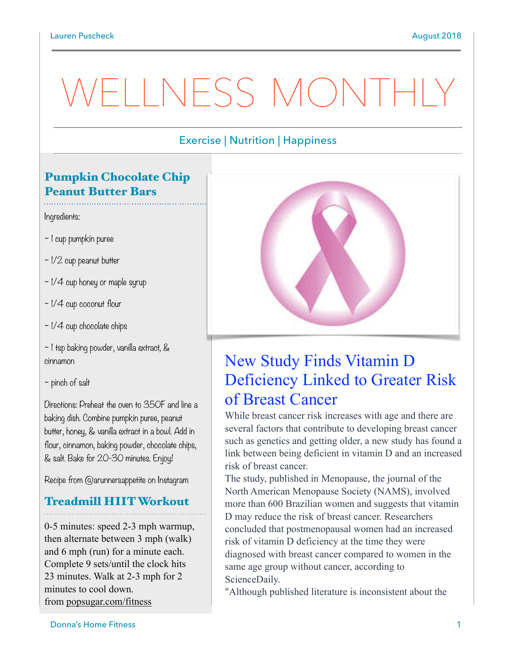# WELLNESS MONTH

#### Exercise | Nutrition | Happiness

### Pumpkin Chocolate Chip Peanut Butter Bars

Ingredients:

- ~ 1 cup pumpkin puree
- $\sim$  1/2 cup peanut butter
- $\sim$  1/4 cup honey or maple syrup
- ~ 1/4 cup coconut flour
- $\sim$  1/4 cup chocolate chips
- ~ 1 tsp baking powder, vanilla extract, & cinnamon
- $\sim$  pinch of salt

Directions: Preheat the oven to 350F and line a baking dish. Combine pumpkin puree, peanut butter, honey, & vanilla extract in a bowl. Add in flour, cinnamon, baking powder, chocolate chips, & salt. Bake for 20-30 minutes. Enjoy!

Recipe from @arunnersappetite on Instagram

#### Treadmill HIIT Workout

0-5 minutes: speed 2-3 mph warmup, then alternate between 3 mph (walk) and 6 mph (run) for a minute each. Complete 9 sets/until the clock hits 23 minutes. Walk at 2-3 mph for 2 minutes to cool down. from [popsugar.com/fitness](http://popsugar.com/fitness)



## New Study Finds Vitamin D Deficiency Linked to Greater Risk of Breast Cancer

While breast cancer risk increases with age and there are [several factors that contribute to developing breast cancer](http://www.cdc.gov/cancer/breast/basic_info/risk_factors.htm) such as genetics and getting older, a new study has found a link between being deficient in vitamin D and an increased risk of breast cancer.

The study, published in Menopause, the journal of the North American Menopause Society (NAMS), involved more than 600 Brazilian women and suggests that vitamin D may [reduce the risk of breast cancer.](https://www.popsugar.com/fitness/What-Young-Women-Should-Do-Lower-Breast-Cancer-Risks-19838076) Researchers concluded that postmenopausal women had an increased risk of vitamin D deficiency at the time they were diagnosed with breast cancer compared to women in the [same age group without cancer, according to](http://www.sciencedaily.com/releases/2018/09/180919083443.htm)  ScienceDaily.

"Although published literature is inconsistent about the